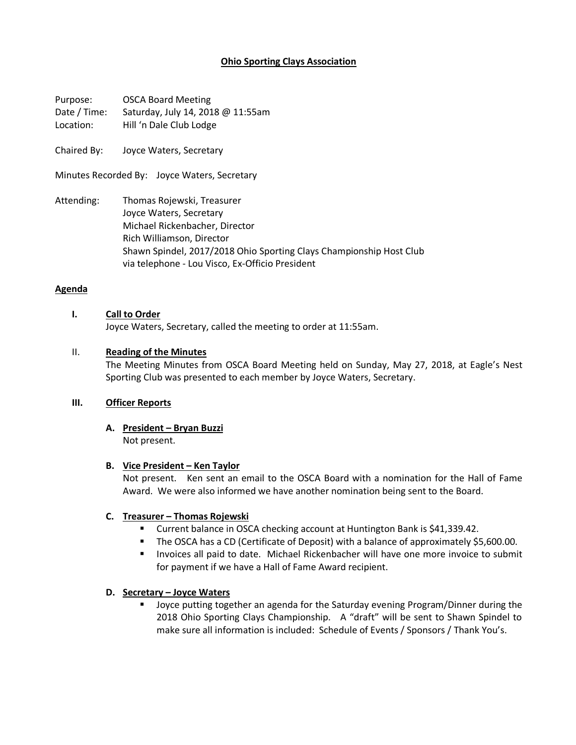# **Ohio Sporting Clays Association**

Purpose: OSCA Board Meeting Date / Time: Saturday, July 14, 2018 @ 11:55am Location: Hill 'n Dale Club Lodge

Chaired By: Joyce Waters, Secretary

Minutes Recorded By: Joyce Waters, Secretary

Attending: Thomas Rojewski, Treasurer Joyce Waters, Secretary Michael Rickenbacher, Director Rich Williamson, Director Shawn Spindel, 2017/2018 Ohio Sporting Clays Championship Host Club via telephone - Lou Visco, Ex-Officio President

#### **Agenda**

### **I. Call to Order**

Joyce Waters, Secretary, called the meeting to order at 11:55am.

### II. **Reading of the Minutes**

The Meeting Minutes from OSCA Board Meeting held on Sunday, May 27, 2018, at Eagle's Nest Sporting Club was presented to each member by Joyce Waters, Secretary.

### **III. Officer Reports**

**A. President – Bryan Buzzi** Not present.

#### **B. Vice President – Ken Taylor**

Not present. Ken sent an email to the OSCA Board with a nomination for the Hall of Fame Award. We were also informed we have another nomination being sent to the Board.

## **C. Treasurer – Thomas Rojewski**

- Current balance in OSCA checking account at Huntington Bank is \$41,339.42.
- The OSCA has a CD (Certificate of Deposit) with a balance of approximately \$5,600.00.
- § Invoices all paid to date. Michael Rickenbacher will have one more invoice to submit for payment if we have a Hall of Fame Award recipient.

## **D. Secretary – Joyce Waters**

Joyce putting together an agenda for the Saturday evening Program/Dinner during the 2018 Ohio Sporting Clays Championship. A "draft" will be sent to Shawn Spindel to make sure all information is included: Schedule of Events / Sponsors / Thank You's.